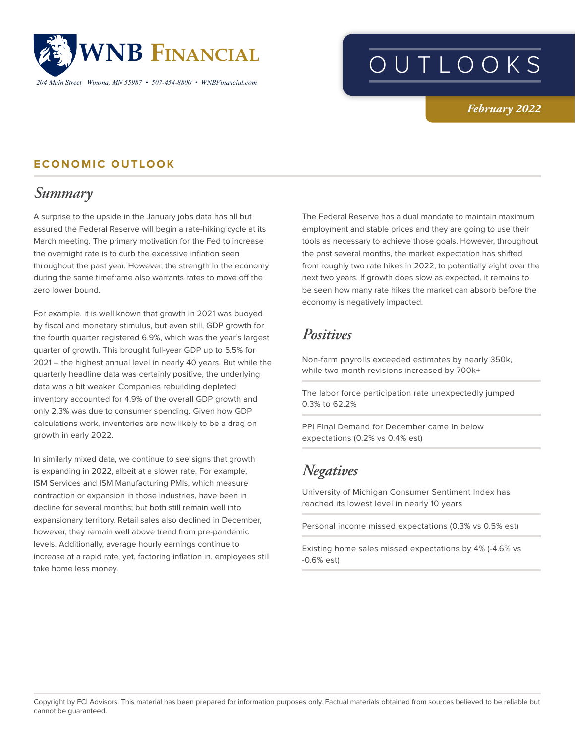

*204 Main Street Winona, MN 55987 • 507-454-8800 • WNBFinancial.com*

# OUTLOOKS

#### *February 2022*

#### **ECONOMIC OUTLOOK**

### *Summary*

A surprise to the upside in the January jobs data has all but assured the Federal Reserve will begin a rate-hiking cycle at its March meeting. The primary motivation for the Fed to increase the overnight rate is to curb the excessive inflation seen throughout the past year. However, the strength in the economy during the same timeframe also warrants rates to move off the zero lower bound.

For example, it is well known that growth in 2021 was buoyed by fiscal and monetary stimulus, but even still, GDP growth for the fourth quarter registered 6.9%, which was the year's largest quarter of growth. This brought full-year GDP up to 5.5% for 2021 – the highest annual level in nearly 40 years. But while the quarterly headline data was certainly positive, the underlying data was a bit weaker. Companies rebuilding depleted inventory accounted for 4.9% of the overall GDP growth and only 2.3% was due to consumer spending. Given how GDP calculations work, inventories are now likely to be a drag on growth in early 2022.

In similarly mixed data, we continue to see signs that growth is expanding in 2022, albeit at a slower rate. For example, ISM Services and ISM Manufacturing PMIs, which measure contraction or expansion in those industries, have been in decline for several months; but both still remain well into expansionary territory. Retail sales also declined in December, however, they remain well above trend from pre-pandemic levels. Additionally, average hourly earnings continue to increase at a rapid rate, yet, factoring inflation in, employees still take home less money.

The Federal Reserve has a dual mandate to maintain maximum employment and stable prices and they are going to use their tools as necessary to achieve those goals. However, throughout the past several months, the market expectation has shifted from roughly two rate hikes in 2022, to potentially eight over the next two years. If growth does slow as expected, it remains to be seen how many rate hikes the market can absorb before the economy is negatively impacted.

## *Positives*

Non-farm payrolls exceeded estimates by nearly 350k, while two month revisions increased by 700k+

The labor force participation rate unexpectedly jumped 0.3% to 62.2%

PPI Final Demand for December came in below expectations (0.2% vs 0.4% est)

# *Negatives*

University of Michigan Consumer Sentiment Index has reached its lowest level in nearly 10 years

Personal income missed expectations (0.3% vs 0.5% est)

Existing home sales missed expectations by 4% (-4.6% vs -0.6% est)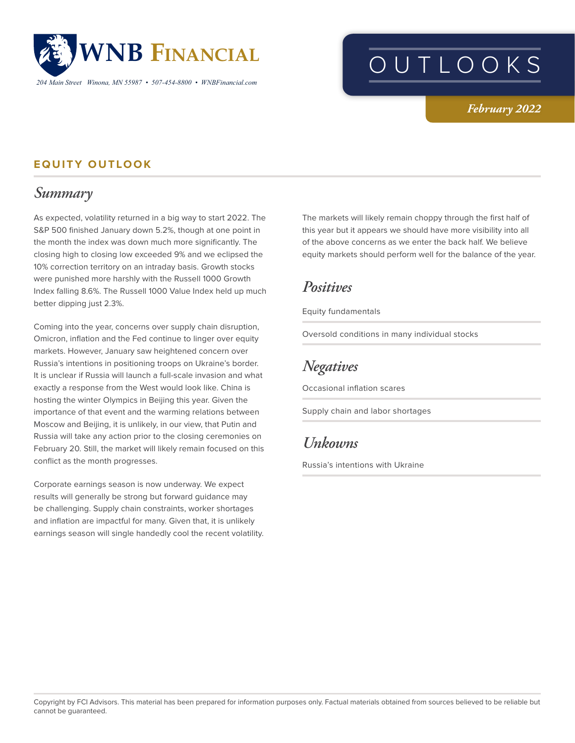

# OUTLOOKS

#### *February 2022*

#### **EQUITY OUTLOOK**

## *Summary*

As expected, volatility returned in a big way to start 2022. The S&P 500 finished January down 5.2%, though at one point in the month the index was down much more significantly. The closing high to closing low exceeded 9% and we eclipsed the 10% correction territory on an intraday basis. Growth stocks were punished more harshly with the Russell 1000 Growth Index falling 8.6%. The Russell 1000 Value Index held up much better dipping just 2.3%.

Coming into the year, concerns over supply chain disruption, Omicron, inflation and the Fed continue to linger over equity markets. However, January saw heightened concern over Russia's intentions in positioning troops on Ukraine's border. It is unclear if Russia will launch a full-scale invasion and what exactly a response from the West would look like. China is hosting the winter Olympics in Beijing this year. Given the importance of that event and the warming relations between Moscow and Beijing, it is unlikely, in our view, that Putin and Russia will take any action prior to the closing ceremonies on February 20. Still, the market will likely remain focused on this conflict as the month progresses.

Corporate earnings season is now underway. We expect results will generally be strong but forward guidance may be challenging. Supply chain constraints, worker shortages and inflation are impactful for many. Given that, it is unlikely earnings season will single handedly cool the recent volatility.

The markets will likely remain choppy through the first half of this year but it appears we should have more visibility into all of the above concerns as we enter the back half. We believe equity markets should perform well for the balance of the year.

### *Positives*

Equity fundamentals

Oversold conditions in many individual stocks

# *Negatives*

Occasional inflation scares

Supply chain and labor shortages

## *Unkowns*

Russia's intentions with Ukraine